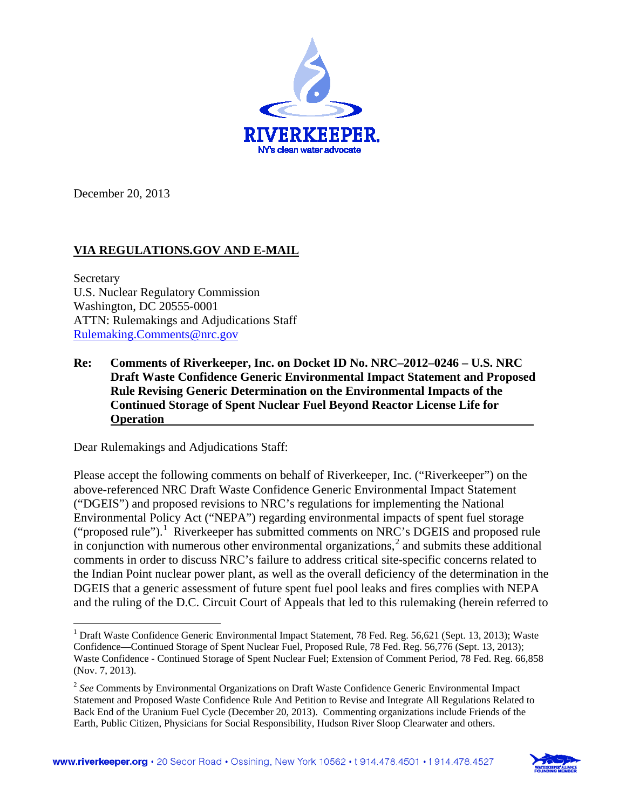

December 20, 2013

## **VIA REGULATIONS.GOV AND E-MAIL**

Secretary U.S. Nuclear Regulatory Commission Washington, DC 20555-0001 ATTN: Rulemakings and Adjudications Staff [Rulemaking.Comments@nrc.gov](mailto:Rulemaking.Comments@nrc.gov)

**Re: Comments of Riverkeeper, Inc. on Docket ID No. NRC–2012–0246 – U.S. NRC Draft Waste Confidence Generic Environmental Impact Statement and Proposed Rule Revising Generic Determination on the Environmental Impacts of the Continued Storage of Spent Nuclear Fuel Beyond Reactor License Life for Operation**

Dear Rulemakings and Adjudications Staff:

Please accept the following comments on behalf of Riverkeeper, Inc. ("Riverkeeper") on the above-referenced NRC Draft Waste Confidence Generic Environmental Impact Statement ("DGEIS") and proposed revisions to NRC's regulations for implementing the National Environmental Policy Act ("NEPA") regarding environmental impacts of spent fuel storage ("proposed rule").<sup>[1](#page-0-0)</sup> Riverkeeper has submitted comments on NRC's DGEIS and proposed rule in conjunction with numerous other environmental organizations,<sup>[2](#page-0-1)</sup> and submits these additional comments in order to discuss NRC's failure to address critical site-specific concerns related to the Indian Point nuclear power plant, as well as the overall deficiency of the determination in the DGEIS that a generic assessment of future spent fuel pool leaks and fires complies with NEPA and the ruling of the D.C. Circuit Court of Appeals that led to this rulemaking (herein referred to

<span id="page-0-1"></span><sup>2</sup> *See* Comments by Environmental Organizations on Draft Waste Confidence Generic Environmental Impact Statement and Proposed Waste Confidence Rule And Petition to Revise and Integrate All Regulations Related to Back End of the Uranium Fuel Cycle (December 20, 2013). Commenting organizations include Friends of the Earth, Public Citizen, Physicians for Social Responsibility, Hudson River Sloop Clearwater and others.



<span id="page-0-0"></span><sup>&</sup>lt;sup>1</sup> Draft Waste Confidence Generic Environmental Impact Statement, 78 Fed. Reg. 56,621 (Sept. 13, 2013); Waste Confidence—Continued Storage of Spent Nuclear Fuel, Proposed Rule, 78 Fed. Reg. 56,776 (Sept. 13, 2013); Waste Confidence - Continued Storage of Spent Nuclear Fuel; Extension of Comment Period, 78 Fed. Reg. 66,858 (Nov. 7, 2013).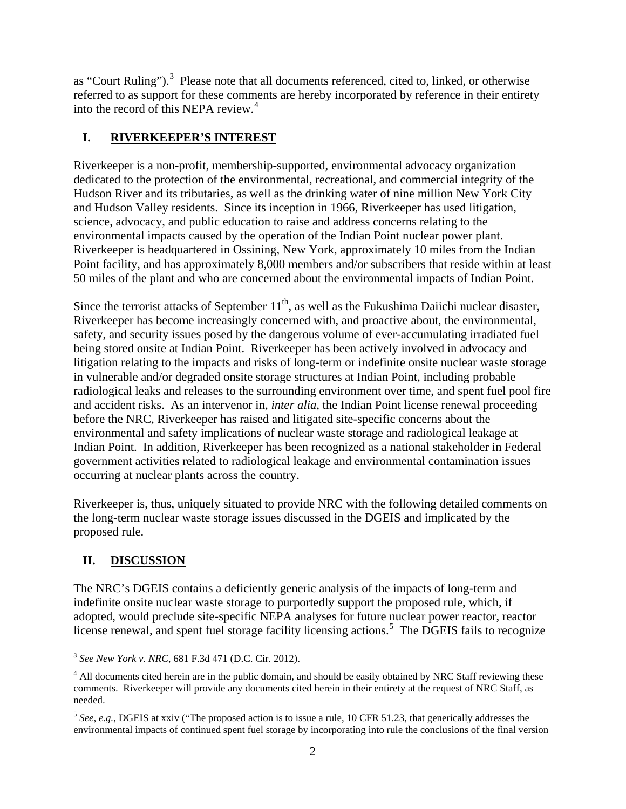as "Court Ruling").<sup>[3](#page-1-0)</sup> Please note that all documents referenced, cited to, linked, or otherwise referred to as support for these comments are hereby incorporated by reference in their entirety into the record of this NEPA review.<sup>[4](#page-1-1)</sup>

# **I. RIVERKEEPER'S INTEREST**

Riverkeeper is a non-profit, membership-supported, environmental advocacy organization dedicated to the protection of the environmental, recreational, and commercial integrity of the Hudson River and its tributaries, as well as the drinking water of nine million New York City and Hudson Valley residents. Since its inception in 1966, Riverkeeper has used litigation, science, advocacy, and public education to raise and address concerns relating to the environmental impacts caused by the operation of the Indian Point nuclear power plant. Riverkeeper is headquartered in Ossining, New York, approximately 10 miles from the Indian Point facility, and has approximately 8,000 members and/or subscribers that reside within at least 50 miles of the plant and who are concerned about the environmental impacts of Indian Point.

Since the terrorist attacks of September  $11<sup>th</sup>$ , as well as the Fukushima Daiichi nuclear disaster, Riverkeeper has become increasingly concerned with, and proactive about, the environmental, safety, and security issues posed by the dangerous volume of ever-accumulating irradiated fuel being stored onsite at Indian Point. Riverkeeper has been actively involved in advocacy and litigation relating to the impacts and risks of long-term or indefinite onsite nuclear waste storage in vulnerable and/or degraded onsite storage structures at Indian Point, including probable radiological leaks and releases to the surrounding environment over time, and spent fuel pool fire and accident risks. As an intervenor in, *inter alia*, the Indian Point license renewal proceeding before the NRC, Riverkeeper has raised and litigated site-specific concerns about the environmental and safety implications of nuclear waste storage and radiological leakage at Indian Point. In addition, Riverkeeper has been recognized as a national stakeholder in Federal government activities related to radiological leakage and environmental contamination issues occurring at nuclear plants across the country.

Riverkeeper is, thus, uniquely situated to provide NRC with the following detailed comments on the long-term nuclear waste storage issues discussed in the DGEIS and implicated by the proposed rule.

# **II. DISCUSSION**

The NRC's DGEIS contains a deficiently generic analysis of the impacts of long-term and indefinite onsite nuclear waste storage to purportedly support the proposed rule, which, if adopted, would preclude site-specific NEPA analyses for future nuclear power reactor, reactor license renewal, and spent fuel storage facility licensing actions.<sup>[5](#page-1-2)</sup> The DGEIS fails to recognize

<span id="page-1-0"></span> <sup>3</sup> *See New York v. NRC*, 681 F.3d 471 (D.C. Cir. 2012).

<span id="page-1-1"></span><sup>&</sup>lt;sup>4</sup> All documents cited herein are in the public domain, and should be easily obtained by NRC Staff reviewing these comments. Riverkeeper will provide any documents cited herein in their entirety at the request of NRC Staff, as needed.

<span id="page-1-2"></span><sup>&</sup>lt;sup>5</sup> See, e.g., DGEIS at xxiv ("The proposed action is to issue a rule, 10 CFR 51.23, that generically addresses the environmental impacts of continued spent fuel storage by incorporating into rule the conclusions of the final version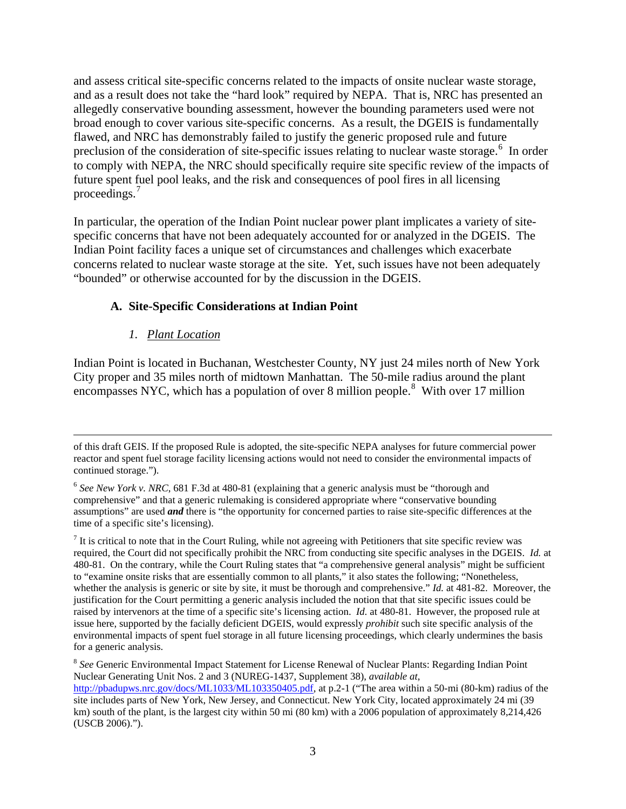and assess critical site-specific concerns related to the impacts of onsite nuclear waste storage, and as a result does not take the "hard look" required by NEPA. That is, NRC has presented an allegedly conservative bounding assessment, however the bounding parameters used were not broad enough to cover various site-specific concerns. As a result, the DGEIS is fundamentally flawed, and NRC has demonstrably failed to justify the generic proposed rule and future preclusion of the consideration of site-specific issues relating to nuclear waste storage.<sup>[6](#page-2-0)</sup> In order to comply with NEPA, the NRC should specifically require site specific review of the impacts of future spent fuel pool leaks, and the risk and consequences of pool fires in all licensing proceedings.[7](#page-2-1)

In particular, the operation of the Indian Point nuclear power plant implicates a variety of sitespecific concerns that have not been adequately accounted for or analyzed in the DGEIS. The Indian Point facility faces a unique set of circumstances and challenges which exacerbate concerns related to nuclear waste storage at the site. Yet, such issues have not been adequately "bounded" or otherwise accounted for by the discussion in the DGEIS.

## **A. Site-Specific Considerations at Indian Point**

## *1. Plant Location*

Indian Point is located in Buchanan, Westchester County, NY just 24 miles north of New York City proper and 35 miles north of midtown Manhattan. The 50-mile radius around the plant encompasses NYC, which has a population of over [8](#page-2-2) million people.<sup>8</sup> With over 17 million

<span id="page-2-1"></span> $<sup>7</sup>$  It is critical to note that in the Court Ruling, while not agreeing with Petitioners that site specific review was</sup> required, the Court did not specifically prohibit the NRC from conducting site specific analyses in the DGEIS. *Id.* at 480-81. On the contrary, while the Court Ruling states that "a comprehensive general analysis" might be sufficient to "examine onsite risks that are essentially common to all plants," it also states the following; "Nonetheless, whether the analysis is generic or site by site, it must be thorough and comprehensive." *Id.* at 481-82. Moreover, the justification for the Court permitting a generic analysis included the notion that that site specific issues could be raised by intervenors at the time of a specific site's licensing action. *Id.* at 480-81. However, the proposed rule at issue here, supported by the facially deficient DGEIS, would expressly *prohibit* such site specific analysis of the environmental impacts of spent fuel storage in all future licensing proceedings, which clearly undermines the basis for a generic analysis.

of this draft GEIS. If the proposed Rule is adopted, the site-specific NEPA analyses for future commercial power reactor and spent fuel storage facility licensing actions would not need to consider the environmental impacts of continued storage.").

<span id="page-2-0"></span><sup>6</sup> *See New York v. NRC*, 681 F.3d at 480-81 (explaining that a generic analysis must be "thorough and comprehensive" and that a generic rulemaking is considered appropriate where "conservative bounding assumptions" are used *and* there is "the opportunity for concerned parties to raise site-specific differences at the time of a specific site's licensing).

<span id="page-2-2"></span><sup>8</sup> *See* Generic Environmental Impact Statement for License Renewal of Nuclear Plants: Regarding Indian Point Nuclear Generating Unit Nos. 2 and 3 (NUREG-1437, Supplement 38), *available at*, [http://pbadupws.nrc.gov/docs/ML1033/ML103350405.pdf,](http://pbadupws.nrc.gov/docs/ML1033/ML103350405.pdf) at p.2-1 ("The area within a 50-mi (80-km) radius of the site includes parts of New York, New Jersey, and Connecticut. New York City, located approximately 24 mi (39 km) south of the plant, is the largest city within 50 mi (80 km) with a 2006 population of approximately 8,214,426 (USCB 2006).").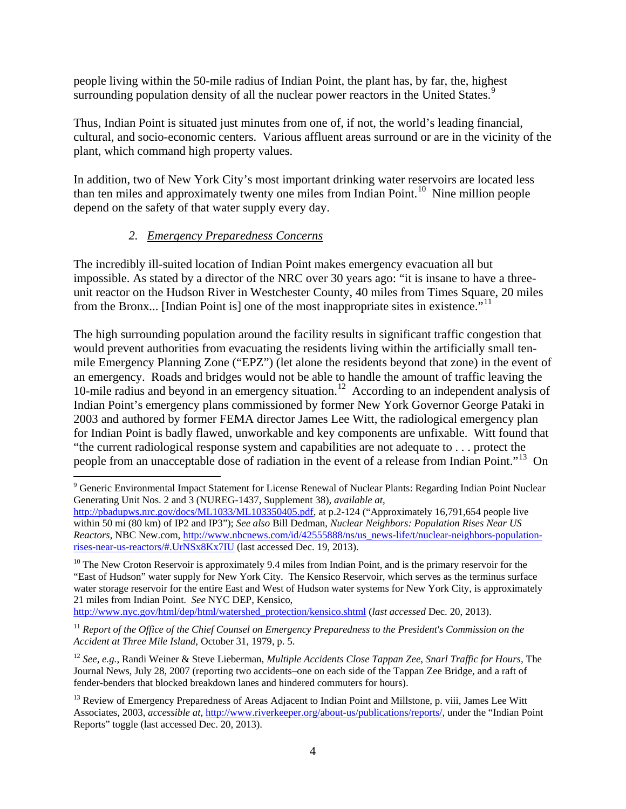people living within the 50-mile radius of Indian Point, the plant has, by far, the, highest surrounding population density of all the nuclear power reactors in the United States.<sup>[9](#page-3-0)</sup>

Thus, Indian Point is situated just minutes from one of, if not, the world's leading financial, cultural, and socio-economic centers. Various affluent areas surround or are in the vicinity of the plant, which command high property values.

In addition, two of New York City's most important drinking water reservoirs are located less than ten miles and approximately twenty one miles from Indian Point.<sup>10</sup> Nine million people depend on the safety of that water supply every day.

# *2. Emergency Preparedness Concerns*

The incredibly ill-suited location of Indian Point makes emergency evacuation all but impossible. As stated by a director of the NRC over 30 years ago: "it is insane to have a threeunit reactor on the Hudson River in Westchester County, 40 miles from Times Square, 20 miles from the Bronx... [Indian Point is] one of the most inappropriate sites in existence.<sup>"[11](#page-3-2)</sup>

The high surrounding population around the facility results in significant traffic congestion that would prevent authorities from evacuating the residents living within the artificially small tenmile Emergency Planning Zone ("EPZ") (let alone the residents beyond that zone) in the event of an emergency. Roads and bridges would not be able to handle the amount of traffic leaving the 10-mile radius and beyond in an emergency situation.<sup>[12](#page-3-3)</sup> According to an independent analysis of Indian Point's emergency plans commissioned by former New York Governor George Pataki in 2003 and authored by former FEMA director James Lee Witt, the radiological emergency plan for Indian Point is badly flawed, unworkable and key components are unfixable. Witt found that "the current radiological response system and capabilities are not adequate to . . . protect the people from an unacceptable dose of radiation in the event of a release from Indian Point."<sup>13</sup> On

[http://www.nyc.gov/html/dep/html/watershed\\_protection/kensico.shtml](http://www.nyc.gov/html/dep/html/watershed_protection/kensico.shtml) (*last accessed* Dec. 20, 2013).

<span id="page-3-2"></span><sup>11</sup> *Report of the Office of the Chief Counsel on Emergency Preparedness to the President's Commission on the Accident at Three Mile Island,* October 31, 1979, p. 5.

<span id="page-3-3"></span><sup>12</sup> *See, e.g.*, Randi Weiner & Steve Lieberman, *Multiple Accidents Close Tappan Zee, Snarl Traffic for Hours,* The Journal News, July 28, 2007 (reporting two accidents–one on each side of the Tappan Zee Bridge, and a raft of fender-benders that blocked breakdown lanes and hindered commuters for hours).

<span id="page-3-0"></span> <sup>9</sup> Generic Environmental Impact Statement for License Renewal of Nuclear Plants: Regarding Indian Point Nuclear Generating Unit Nos. 2 and 3 (NUREG-1437, Supplement 38), *available at*,

[http://pbadupws.nrc.gov/docs/ML1033/ML103350405.pdf,](http://pbadupws.nrc.gov/docs/ML1033/ML103350405.pdf) at p.2-124 ("Approximately 16,791,654 people live within 50 mi (80 km) of IP2 and IP3"); *See also* Bill Dedman, *Nuclear Neighbors: Population Rises Near US Reactors*, NBC New.com, [http://www.nbcnews.com/id/42555888/ns/us\\_news-life/t/nuclear-neighbors-population](http://www.nbcnews.com/id/42555888/ns/us_news-life/t/nuclear-neighbors-population-rises-near-us-reactors/#.UrNSx8Kx7IU)[rises-near-us-reactors/#.UrNSx8Kx7IU](http://www.nbcnews.com/id/42555888/ns/us_news-life/t/nuclear-neighbors-population-rises-near-us-reactors/#.UrNSx8Kx7IU) (last accessed Dec. 19, 2013).

<span id="page-3-1"></span> $10$  The New Croton Reservoir is approximately 9.4 miles from Indian Point, and is the primary reservoir for the "East of Hudson" water supply for New York City. The Kensico Reservoir, which serves as the terminus surface water storage reservoir for the entire East and West of Hudson water systems for New York City, is approximately 21 miles from Indian Point. *See* NYC DEP, Kensico,

<span id="page-3-4"></span><sup>&</sup>lt;sup>13</sup> Review of Emergency Preparedness of Areas Adjacent to Indian Point and Millstone, p. viii, James Lee Witt Associates, 2003, *accessible at*, [http://www.riverkeeper.org/about-us/publications/reports/,](http://www.riverkeeper.org/about-us/publications/reports/) under the "Indian Point Reports" toggle (last accessed Dec. 20, 2013).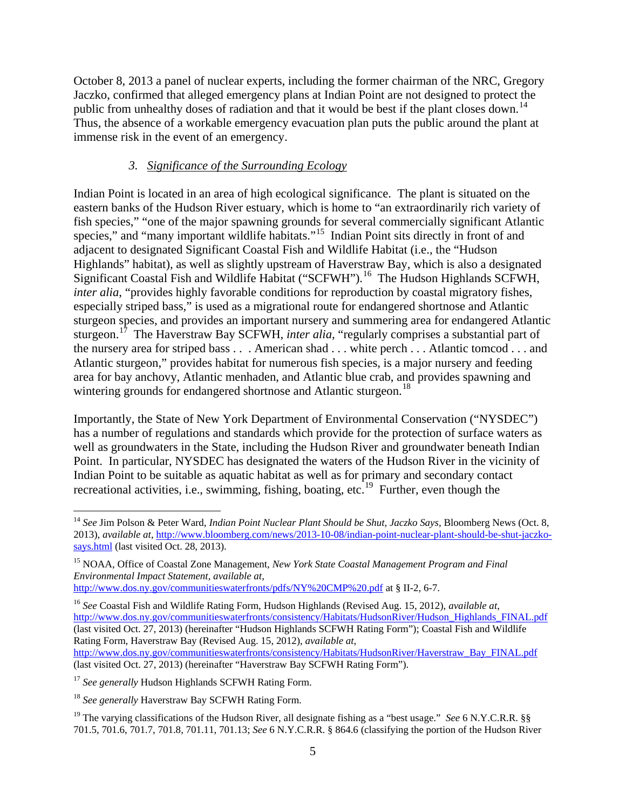October 8, 2013 a panel of nuclear experts, including the former chairman of the NRC, Gregory Jaczko, confirmed that alleged emergency plans at Indian Point are not designed to protect the public from unhealthy doses of radiation and that it would be best if the plant closes down.<sup>[14](#page-4-0)</sup> Thus, the absence of a workable emergency evacuation plan puts the public around the plant at immense risk in the event of an emergency.

#### *3. Significance of the Surrounding Ecology*

Indian Point is located in an area of high ecological significance. The plant is situated on the eastern banks of the Hudson River estuary, which is home to "an extraordinarily rich variety of fish species," "one of the major spawning grounds for several commercially significant Atlantic species," and "many important wildlife habitats."<sup>[15](#page-4-1)</sup> Indian Point sits directly in front of and adjacent to designated Significant Coastal Fish and Wildlife Habitat (i.e., the "Hudson Highlands" habitat), as well as slightly upstream of Haverstraw Bay, which is also a designated Significant Coastal Fish and Wildlife Habitat ("SCFWH"). [16](#page-4-2) The Hudson Highlands SCFWH, *inter alia*, "provides highly favorable conditions for reproduction by coastal migratory fishes, especially striped bass," is used as a migrational route for endangered shortnose and Atlantic sturgeon species, and provides an important nursery and summering area for endangered Atlantic sturgeon.[17](#page-4-3) The Haverstraw Bay SCFWH, *inter alia*, "regularly comprises a substantial part of the nursery area for striped bass . . . American shad . . . white perch . . . Atlantic tomcod . . . and Atlantic sturgeon," provides habitat for numerous fish species, is a major nursery and feeding area for bay anchovy, Atlantic menhaden, and Atlantic blue crab, and provides spawning and wintering grounds for endangered shortnose and Atlantic sturgeon.<sup>[18](#page-4-4)</sup>

Importantly, the State of New York Department of Environmental Conservation ("NYSDEC") has a number of regulations and standards which provide for the protection of surface waters as well as groundwaters in the State, including the Hudson River and groundwater beneath Indian Point. In particular, NYSDEC has designated the waters of the Hudson River in the vicinity of Indian Point to be suitable as aquatic habitat as well as for primary and secondary contact recreational activities, i.e., swimming, fishing, boating, etc.<sup>[19](#page-4-5)</sup> Further, even though the

[http://www.dos.ny.gov/communitieswaterfronts/consistency/Habitats/HudsonRiver/Haverstraw\\_Bay\\_FINAL.pdf](http://www.dos.ny.gov/communitieswaterfronts/consistency/Habitats/HudsonRiver/Haverstraw_Bay_FINAL.pdf) (last visited Oct. 27, 2013) (hereinafter "Haverstraw Bay SCFWH Rating Form").

<span id="page-4-3"></span><sup>17</sup> See generally Hudson Highlands SCFWH Rating Form.

<span id="page-4-0"></span> <sup>14</sup> *See* Jim Polson & Peter Ward, *Indian Point Nuclear Plant Should be Shut, Jaczko Says*, Bloomberg News (Oct. 8, 2013), *available at*, [http://www.bloomberg.com/news/2013-10-08/indian-point-nuclear-plant-should-be-shut-jaczko](http://www.bloomberg.com/news/2013-10-08/indian-point-nuclear-plant-should-be-shut-jaczko-says.html)[says.html](http://www.bloomberg.com/news/2013-10-08/indian-point-nuclear-plant-should-be-shut-jaczko-says.html) (last visited Oct. 28, 2013).

<span id="page-4-1"></span><sup>15</sup> NOAA, Office of Coastal Zone Management, *New York State Coastal Management Program and Final Environmental Impact Statement*, *available at*, <http://www.dos.ny.gov/communitieswaterfronts/pdfs/NY%20CMP%20.pdf> at § II-2, 6-7.

<span id="page-4-2"></span><sup>16</sup> *See* Coastal Fish and Wildlife Rating Form, Hudson Highlands (Revised Aug. 15, 2012), *available at*, [http://www.dos.ny.gov/communitieswaterfronts/consistency/Habitats/HudsonRiver/Hudson\\_Highlands\\_FINAL.pdf](http://www.dos.ny.gov/communitieswaterfronts/consistency/Habitats/HudsonRiver/Hudson_Highlands_FINAL.pdf) (last visited Oct. 27, 2013) (hereinafter "Hudson Highlands SCFWH Rating Form"); Coastal Fish and Wildlife Rating Form, Haverstraw Bay (Revised Aug. 15, 2012), *available at*,

<span id="page-4-4"></span><sup>18</sup> *See generally* Haverstraw Bay SCFWH Rating Form.

<span id="page-4-5"></span><sup>&</sup>lt;sup>19</sup> The varying classifications of the Hudson River, all designate fishing as a "best usage." *See* 6 N.Y.C.R.R. §§ 701.5, 701.6, 701.7, 701.8, 701.11, 701.13; *See* 6 N.Y.C.R.R. § 864.6 (classifying the portion of the Hudson River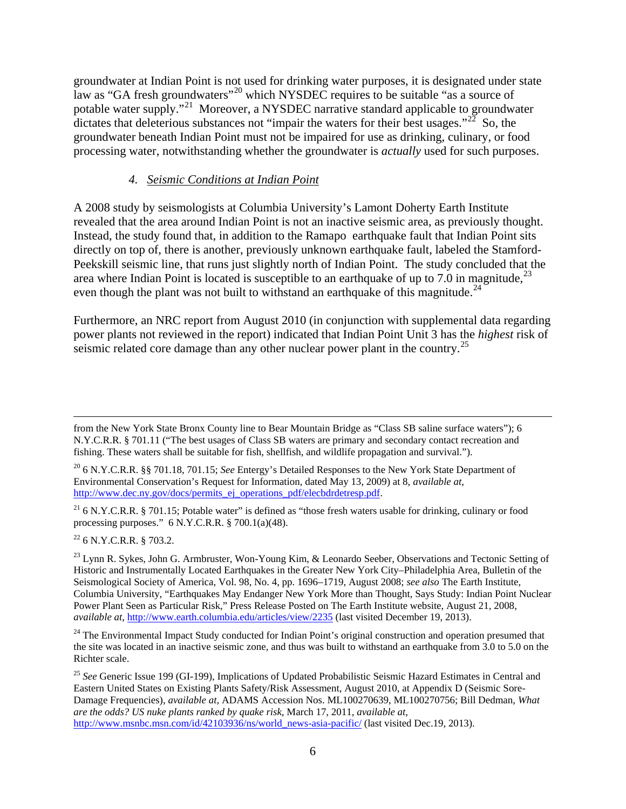groundwater at Indian Point is not used for drinking water purposes, it is designated under state law as "GA fresh groundwaters"<sup>[20](#page-5-0)</sup> which NYSDEC requires to be suitable "as a source of potable water supply."[21](#page-5-1) Moreover, a NYSDEC narrative standard applicable to groundwater dictates that deleterious substances not "impair the waters for their best usages."<sup>22</sup> So, the groundwater beneath Indian Point must not be impaired for use as drinking, culinary, or food processing water, notwithstanding whether the groundwater is *actually* used for such purposes.

#### *4. Seismic Conditions at Indian Point*

A 2008 study by seismologists at Columbia University's Lamont Doherty Earth Institute revealed that the area around Indian Point is not an inactive seismic area, as previously thought. Instead, the study found that, in addition to the Ramapo earthquake fault that Indian Point sits directly on top of, there is another, previously unknown earthquake fault, labeled the Stamford-Peekskill seismic line, that runs just slightly north of Indian Point. The study concluded that the area where Indian Point is located is susceptible to an earthquake of up to 7.0 in magnitude,  $^{23}$  $^{23}$  $^{23}$ even though the plant was not built to withstand an earthquake of this magnitude.<sup>[24](#page-5-4)</sup>

Furthermore, an NRC report from August 2010 (in conjunction with supplemental data regarding power plants not reviewed in the report) indicated that Indian Point Unit 3 has the *highest* risk of seismic related core damage than any other nuclear power plant in the country.<sup>[25](#page-5-5)</sup>

<span id="page-5-2"></span><sup>22</sup> 6 N.Y.C.R.R. § 703.2.

from the New York State Bronx County line to Bear Mountain Bridge as "Class SB saline surface waters"); 6 N.Y.C.R.R. § 701.11 ("The best usages of Class SB waters are primary and secondary contact recreation and fishing. These waters shall be suitable for fish, shellfish, and wildlife propagation and survival.").

<span id="page-5-0"></span><sup>20</sup> 6 N.Y.C.R.R. §§ 701.18, 701.15; *See* Entergy's Detailed Responses to the New York State Department of Environmental Conservation's Request for Information, dated May 13, 2009) at 8, *available at*, [http://www.dec.ny.gov/docs/permits\\_ej\\_operations\\_pdf/elecbdrdetresp.pdf.](http://www.dec.ny.gov/docs/permits_ej_operations_pdf/elecbdrdetresp.pdf)

<span id="page-5-1"></span> $21$  6 N.Y.C.R.R. § 701.15; Potable water" is defined as "those fresh waters usable for drinking, culinary or food processing purposes." 6 N.Y.C.R.R. § 700.1(a)(48).

<span id="page-5-3"></span><sup>&</sup>lt;sup>23</sup> Lynn R. Sykes, John G. Armbruster, Won-Young Kim, & Leonardo Seeber, Observations and Tectonic Setting of Historic and Instrumentally Located Earthquakes in the Greater New York City–Philadelphia Area, Bulletin of the Seismological Society of America, Vol. 98, No. 4, pp. 1696–1719, August 2008; *see also* The Earth Institute, Columbia University, "Earthquakes May Endanger New York More than Thought, Says Study: Indian Point Nuclear Power Plant Seen as Particular Risk," Press Release Posted on The Earth Institute website, August 21, 2008, *available at*[, http://www.earth.columbia.edu/articles/view/2235](http://www.earth.columbia.edu/articles/view/2235) (last visited December 19, 2013).

<span id="page-5-4"></span><sup>&</sup>lt;sup>24</sup> The Environmental Impact Study conducted for Indian Point's original construction and operation presumed that the site was located in an inactive seismic zone, and thus was built to withstand an earthquake from 3.0 to 5.0 on the Richter scale.

<span id="page-5-5"></span><sup>25</sup> *See* Generic Issue 199 (GI-199), Implications of Updated Probabilistic Seismic Hazard Estimates in Central and Eastern United States on Existing Plants Safety/Risk Assessment, August 2010, at Appendix D (Seismic Sore-Damage Frequencies), *available at*, ADAMS Accession Nos. ML100270639, ML100270756; Bill Dedman, *What are the odds? US nuke plants ranked by quake risk*, March 17, 2011, *available at*, [http://www.msnbc.msn.com/id/42103936/ns/world\\_news-asia-pacific/](http://www.msnbc.msn.com/id/42103936/ns/world_news-asia-pacific/) (last visited Dec.19, 2013).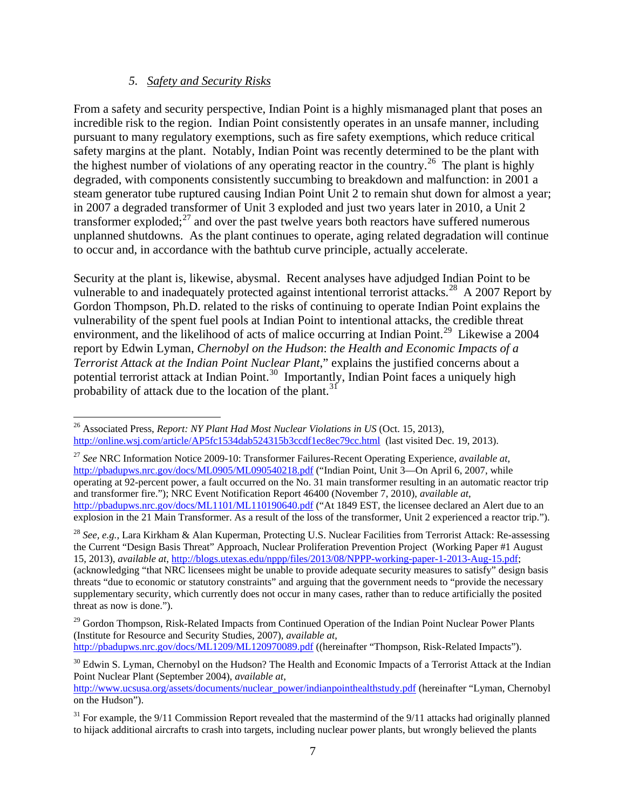#### *5. Safety and Security Risks*

From a safety and security perspective, Indian Point is a highly mismanaged plant that poses an incredible risk to the region. Indian Point consistently operates in an unsafe manner, including pursuant to many regulatory exemptions, such as fire safety exemptions, which reduce critical safety margins at the plant. Notably, Indian Point was recently determined to be the plant with the highest number of violations of any operating reactor in the country.<sup>[26](#page-6-0)</sup> The plant is highly degraded, with components consistently succumbing to breakdown and malfunction: in 2001 a steam generator tube ruptured causing Indian Point Unit 2 to remain shut down for almost a year; in 2007 a degraded transformer of Unit 3 exploded and just two years later in 2010, a Unit 2 transformer exploded; $^{27}$  $^{27}$  $^{27}$  and over the past twelve years both reactors have suffered numerous unplanned shutdowns. As the plant continues to operate, aging related degradation will continue to occur and, in accordance with the bathtub curve principle, actually accelerate.

Security at the plant is, likewise, abysmal. Recent analyses have adjudged Indian Point to be vulnerable to and inadequately protected against intentional terrorist attacks.<sup>[28](#page-6-2)</sup> A 2007 Report by Gordon Thompson, Ph.D. related to the risks of continuing to operate Indian Point explains the vulnerability of the spent fuel pools at Indian Point to intentional attacks, the credible threat environment, and the likelihood of acts of malice occurring at Indian Point.<sup>[29](#page-6-3)</sup> Likewise a 2004 report by Edwin Lyman, *Chernobyl on the Hudson*: *the Health and Economic Impacts of a Terrorist Attack at the Indian Point Nuclear Plant*," explains the justified concerns about a potential terrorist attack at Indian Point.<sup>30</sup> Importantly, Indian Point faces a uniquely high probability of attack due to the location of the plant.<sup>[31](#page-6-5)</sup>

<span id="page-6-1"></span><sup>27</sup> *See* NRC Information Notice 2009-10: Transformer Failures-Recent Operating Experience, *available at*, <http://pbadupws.nrc.gov/docs/ML0905/ML090540218.pdf> ("Indian Point, Unit 3-On April 6, 2007, while operating at 92-percent power, a fault occurred on the No. 31 main transformer resulting in an automatic reactor trip and transformer fire."); NRC Event Notification Report 46400 (November 7, 2010), *available at*, <http://pbadupws.nrc.gov/docs/ML1101/ML110190640.pdf> ("At 1849 EST, the licensee declared an Alert due to an explosion in the 21 Main Transformer. As a result of the loss of the transformer, Unit 2 experienced a reactor trip.").

<span id="page-6-2"></span><sup>28</sup> *See, e.g.*, Lara Kirkham & Alan Kuperman, Protecting U.S. Nuclear Facilities from Terrorist Attack: Re-assessing the Current "Design Basis Threat" Approach, Nuclear Proliferation Prevention Project (Working Paper #1 August 15, 2013), *available at*, [http://blogs.utexas.edu/nppp/files/2013/08/NPPP-working-paper-1-2013-Aug-15.pdf;](http://blogs.utexas.edu/nppp/files/2013/08/NPPP-working-paper-1-2013-Aug-15.pdf) (acknowledging "that NRC licensees might be unable to provide adequate security measures to satisfy" design basis threats "due to economic or statutory constraints" and arguing that the government needs to "provide the necessary supplementary security, which currently does not occur in many cases, rather than to reduce artificially the posited threat as now is done.").

<http://pbadupws.nrc.gov/docs/ML1209/ML120970089.pdf> ((hereinafter "Thompson, Risk-Related Impacts").

<span id="page-6-0"></span> <sup>26</sup> Associated Press, *Report: NY Plant Had Most Nuclear Violations in US* (Oct. 15, 2013), <http://online.wsj.com/article/AP5fc1534dab524315b3ccdf1ec8ec79cc.html>(last visited Dec. 19, 2013).

<span id="page-6-3"></span><sup>&</sup>lt;sup>29</sup> Gordon Thompson, Risk-Related Impacts from Continued Operation of the Indian Point Nuclear Power Plants (Institute for Resource and Security Studies, 2007), *available at*,

<span id="page-6-4"></span> $30$  Edwin S. Lyman, Chernobyl on the Hudson? The Health and Economic Impacts of a Terrorist Attack at the Indian Point Nuclear Plant (September 2004), *available at*,

[http://www.ucsusa.org/assets/documents/nuclear\\_power/indianpointhealthstudy.pdf](http://www.ucsusa.org/assets/documents/nuclear_power/indianpointhealthstudy.pdf) (hereinafter "Lyman, Chernobyl on the Hudson").

<span id="page-6-5"></span> $31$  For example, the 9/11 Commission Report revealed that the mastermind of the 9/11 attacks had originally planned to hijack additional aircrafts to crash into targets, including nuclear power plants, but wrongly believed the plants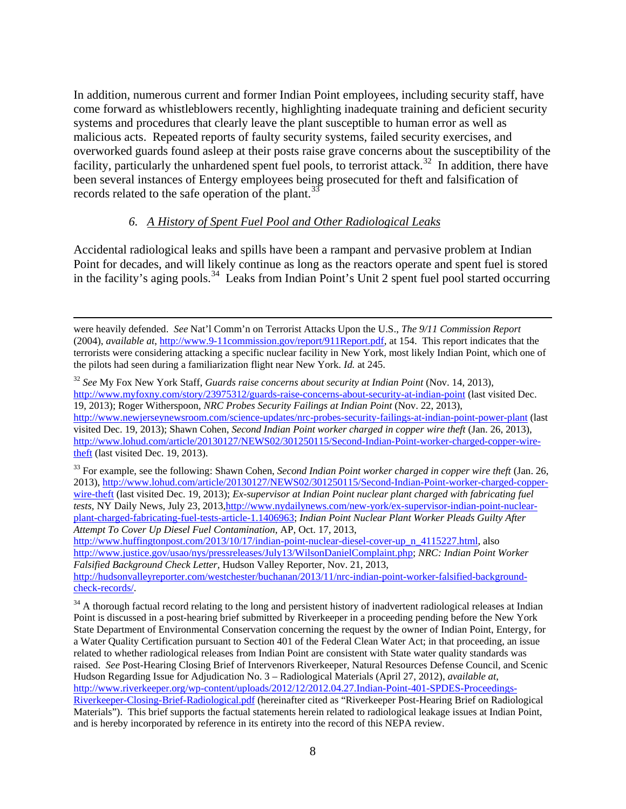In addition, numerous current and former Indian Point employees, including security staff, have come forward as whistleblowers recently, highlighting inadequate training and deficient security systems and procedures that clearly leave the plant susceptible to human error as well as malicious acts. Repeated reports of faulty security systems, failed security exercises, and overworked guards found asleep at their posts raise grave concerns about the susceptibility of the facility, particularly the unhardened spent fuel pools, to terrorist attack.<sup>[32](#page-7-0)</sup> In addition, there have been several instances of Entergy employees being prosecuted for theft and falsification of records related to the safe operation of the plant.<sup>[33](#page-7-1)</sup>

#### *6. A History of Spent Fuel Pool and Other Radiological Leaks*

Accidental radiological leaks and spills have been a rampant and pervasive problem at Indian Point for decades, and will likely continue as long as the reactors operate and spent fuel is stored in the facility's aging pools.<sup>34</sup> Leaks from Indian Point's Unit 2 spent fuel pool started occurring

were heavily defended. *See* Nat'l Comm'n on Terrorist Attacks Upon the U.S., *The 9/11 Commission Report*  (2004), *available at*, [http://www.9-11commission.gov/report/911Report.pdf,](http://www.9-11commission.gov/report/911Report.pdf) at 154. This report indicates that the terrorists were considering attacking a specific nuclear facility in New York, most likely Indian Point, which one of the pilots had seen during a familiarization flight near New York. *Id.* at 245.

<span id="page-7-0"></span><sup>32</sup> *See* My Fox New York Staff, *Guards raise concerns about security at Indian Point* (Nov. 14, 2013), <http://www.myfoxny.com/story/23975312/guards-raise-concerns-about-security-at-indian-point> (last visited Dec. 19, 2013); Roger Witherspoon, *NRC Probes Security Failings at Indian Point* (Nov. 22, 2013), <http://www.newjerseynewsroom.com/science-updates/nrc-probes-security-failings-at-indian-point-power-plant> (last visited Dec. 19, 2013); Shawn Cohen, *Second Indian Point worker charged in copper wire theft* (Jan. 26, 2013), [http://www.lohud.com/article/20130127/NEWS02/301250115/Second-Indian-Point-worker-charged-copper-wire](http://www.lohud.com/article/20130127/NEWS02/301250115/Second-Indian-Point-worker-charged-copper-wire-theft)[theft](http://www.lohud.com/article/20130127/NEWS02/301250115/Second-Indian-Point-worker-charged-copper-wire-theft) (last visited Dec. 19, 2013).

<span id="page-7-1"></span><sup>&</sup>lt;sup>33</sup> For example, see the following: Shawn Cohen, *Second Indian Point worker charged in copper wire theft* (Jan. 26, 2013), [http://www.lohud.com/article/20130127/NEWS02/301250115/Second-Indian-Point-worker-charged-copper](http://www.lohud.com/article/20130127/NEWS02/301250115/Second-Indian-Point-worker-charged-copper-wire-theft)[wire-theft](http://www.lohud.com/article/20130127/NEWS02/301250115/Second-Indian-Point-worker-charged-copper-wire-theft) (last visited Dec. 19, 2013); *Ex-supervisor at Indian Point nuclear plant charged with fabricating fuel tests,* NY Daily News, July 23, 2013[,http://www.nydailynews.com/new-york/ex-supervisor-indian-point-nuclear](http://www.nydailynews.com/new-york/ex-supervisor-indian-point-nuclear-plant-charged-fabricating-fuel-tests-article-1.1406963)[plant-charged-fabricating-fuel-tests-article-1.1406963;](http://www.nydailynews.com/new-york/ex-supervisor-indian-point-nuclear-plant-charged-fabricating-fuel-tests-article-1.1406963) *Indian Point Nuclear Plant Worker Pleads Guilty After Attempt To Cover Up Diesel Fuel Contamination*, AP, Oct. 17, 2013,

[http://www.huffingtonpost.com/2013/10/17/indian-point-nuclear-diesel-cover-up\\_n\\_4115227.html,](http://www.huffingtonpost.com/2013/10/17/indian-point-nuclear-diesel-cover-up_n_4115227.html) also [http://www.justice.gov/usao/nys/pressreleases/July13/WilsonDanielComplaint.php;](http://www.justice.gov/usao/nys/pressreleases/July13/WilsonDanielComplaint.php) *NRC: Indian Point Worker Falsified Background Check Letter*, Hudson Valley Reporter, Nov. 21, 2013, [http://hudsonvalleyreporter.com/westchester/buchanan/2013/11/nrc-indian-point-worker-falsified-background-](http://hudsonvalleyreporter.com/westchester/buchanan/2013/11/nrc-indian-point-worker-falsified-background-check-records/)

[check-records/.](http://hudsonvalleyreporter.com/westchester/buchanan/2013/11/nrc-indian-point-worker-falsified-background-check-records/)

<span id="page-7-2"></span><sup>&</sup>lt;sup>34</sup> A thorough factual record relating to the long and persistent history of inadvertent radiological releases at Indian Point is discussed in a post-hearing brief submitted by Riverkeeper in a proceeding pending before the New York State Department of Environmental Conservation concerning the request by the owner of Indian Point, Entergy, for a Water Quality Certification pursuant to Section 401 of the Federal Clean Water Act; in that proceeding, an issue related to whether radiological releases from Indian Point are consistent with State water quality standards was raised. *See* Post-Hearing Closing Brief of Intervenors Riverkeeper, Natural Resources Defense Council, and Scenic Hudson Regarding Issue for Adjudication No. 3 – Radiological Materials (April 27, 2012), *available at*, [http://www.riverkeeper.org/wp-content/uploads/2012/12/2012.04.27.Indian-Point-401-SPDES-Proceedings-](http://www.riverkeeper.org/wp-content/uploads/2012/12/2012.04.27.Indian-Point-401-SPDES-Proceedings-Riverkeeper-Closing-Brief-Radiological.pdf)[Riverkeeper-Closing-Brief-Radiological.pdf](http://www.riverkeeper.org/wp-content/uploads/2012/12/2012.04.27.Indian-Point-401-SPDES-Proceedings-Riverkeeper-Closing-Brief-Radiological.pdf) (hereinafter cited as "Riverkeeper Post-Hearing Brief on Radiological Materials"). This brief supports the factual statements herein related to radiological leakage issues at Indian Point, and is hereby incorporated by reference in its entirety into the record of this NEPA review.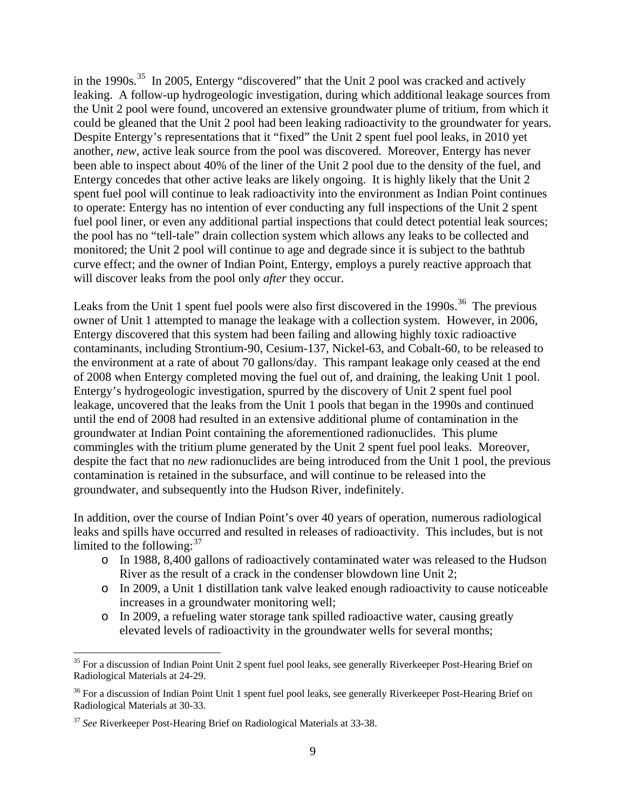in the 1990s.<sup>[35](#page-8-0)</sup> In 2005, Entergy "discovered" that the Unit 2 pool was cracked and actively leaking. A follow-up hydrogeologic investigation, during which additional leakage sources from the Unit 2 pool were found, uncovered an extensive groundwater plume of tritium, from which it could be gleaned that the Unit 2 pool had been leaking radioactivity to the groundwater for years. Despite Entergy's representations that it "fixed" the Unit 2 spent fuel pool leaks, in 2010 yet another, *new*, active leak source from the pool was discovered. Moreover, Entergy has never been able to inspect about 40% of the liner of the Unit 2 pool due to the density of the fuel, and Entergy concedes that other active leaks are likely ongoing. It is highly likely that the Unit 2 spent fuel pool will continue to leak radioactivity into the environment as Indian Point continues to operate: Entergy has no intention of ever conducting any full inspections of the Unit 2 spent fuel pool liner, or even any additional partial inspections that could detect potential leak sources; the pool has no "tell-tale" drain collection system which allows any leaks to be collected and monitored; the Unit 2 pool will continue to age and degrade since it is subject to the bathtub curve effect; and the owner of Indian Point, Entergy, employs a purely reactive approach that will discover leaks from the pool only *after* they occur.

Leaks from the Unit 1 spent fuel pools were also first discovered in the  $1990s$ <sup>[36](#page-8-1)</sup>. The previous owner of Unit 1 attempted to manage the leakage with a collection system. However, in 2006, Entergy discovered that this system had been failing and allowing highly toxic radioactive contaminants, including Strontium-90, Cesium-137, Nickel-63, and Cobalt-60, to be released to the environment at a rate of about 70 gallons/day. This rampant leakage only ceased at the end of 2008 when Entergy completed moving the fuel out of, and draining, the leaking Unit 1 pool. Entergy's hydrogeologic investigation, spurred by the discovery of Unit 2 spent fuel pool leakage, uncovered that the leaks from the Unit 1 pools that began in the 1990s and continued until the end of 2008 had resulted in an extensive additional plume of contamination in the groundwater at Indian Point containing the aforementioned radionuclides. This plume commingles with the tritium plume generated by the Unit 2 spent fuel pool leaks. Moreover, despite the fact that no *new* radionuclides are being introduced from the Unit 1 pool, the previous contamination is retained in the subsurface, and will continue to be released into the groundwater, and subsequently into the Hudson River, indefinitely.

In addition, over the course of Indian Point's over 40 years of operation, numerous radiological leaks and spills have occurred and resulted in releases of radioactivity. This includes, but is not limited to the following:  $37$ 

- o In 1988, 8,400 gallons of radioactively contaminated water was released to the Hudson River as the result of a crack in the condenser blowdown line Unit 2;
- o In 2009, a Unit 1 distillation tank valve leaked enough radioactivity to cause noticeable increases in a groundwater monitoring well;
- o In 2009, a refueling water storage tank spilled radioactive water, causing greatly elevated levels of radioactivity in the groundwater wells for several months;

<span id="page-8-0"></span> $35$  For a discussion of Indian Point Unit 2 spent fuel pool leaks, see generally Riverkeeper Post-Hearing Brief on Radiological Materials at 24-29.

<span id="page-8-1"></span><sup>&</sup>lt;sup>36</sup> For a discussion of Indian Point Unit 1 spent fuel pool leaks, see generally Riverkeeper Post-Hearing Brief on Radiological Materials at 30-33.

<span id="page-8-2"></span><sup>37</sup> *See* Riverkeeper Post-Hearing Brief on Radiological Materials at 33-38.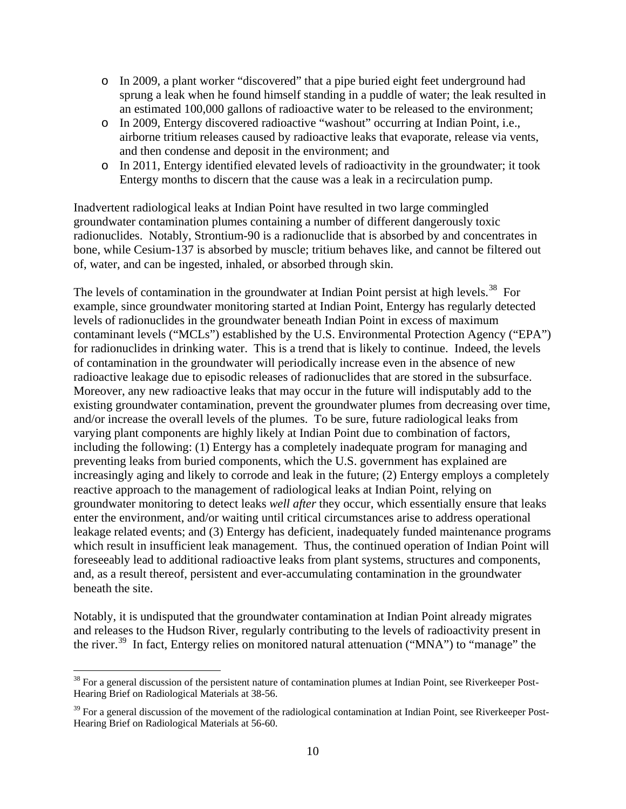- o In 2009, a plant worker "discovered" that a pipe buried eight feet underground had sprung a leak when he found himself standing in a puddle of water; the leak resulted in an estimated 100,000 gallons of radioactive water to be released to the environment;
- o In 2009, Entergy discovered radioactive "washout" occurring at Indian Point, i.e., airborne tritium releases caused by radioactive leaks that evaporate, release via vents, and then condense and deposit in the environment; and
- o In 2011, Entergy identified elevated levels of radioactivity in the groundwater; it took Entergy months to discern that the cause was a leak in a recirculation pump.

Inadvertent radiological leaks at Indian Point have resulted in two large commingled groundwater contamination plumes containing a number of different dangerously toxic radionuclides. Notably, Strontium-90 is a radionuclide that is absorbed by and concentrates in bone, while Cesium-137 is absorbed by muscle; tritium behaves like, and cannot be filtered out of, water, and can be ingested, inhaled, or absorbed through skin.

The levels of contamination in the groundwater at Indian Point persist at high levels.<sup>[38](#page-9-0)</sup> For example, since groundwater monitoring started at Indian Point, Entergy has regularly detected levels of radionuclides in the groundwater beneath Indian Point in excess of maximum contaminant levels ("MCLs") established by the U.S. Environmental Protection Agency ("EPA") for radionuclides in drinking water. This is a trend that is likely to continue. Indeed, the levels of contamination in the groundwater will periodically increase even in the absence of new radioactive leakage due to episodic releases of radionuclides that are stored in the subsurface. Moreover, any new radioactive leaks that may occur in the future will indisputably add to the existing groundwater contamination, prevent the groundwater plumes from decreasing over time, and/or increase the overall levels of the plumes. To be sure, future radiological leaks from varying plant components are highly likely at Indian Point due to combination of factors, including the following: (1) Entergy has a completely inadequate program for managing and preventing leaks from buried components, which the U.S. government has explained are increasingly aging and likely to corrode and leak in the future; (2) Entergy employs a completely reactive approach to the management of radiological leaks at Indian Point, relying on groundwater monitoring to detect leaks *well after* they occur, which essentially ensure that leaks enter the environment, and/or waiting until critical circumstances arise to address operational leakage related events; and (3) Entergy has deficient, inadequately funded maintenance programs which result in insufficient leak management. Thus, the continued operation of Indian Point will foreseeably lead to additional radioactive leaks from plant systems, structures and components, and, as a result thereof, persistent and ever-accumulating contamination in the groundwater beneath the site.

Notably, it is undisputed that the groundwater contamination at Indian Point already migrates and releases to the Hudson River, regularly contributing to the levels of radioactivity present in the river.<sup>39</sup> In fact, Entergy relies on monitored natural attenuation ("MNA") to "manage" the

<span id="page-9-0"></span> $38$  For a general discussion of the persistent nature of contamination plumes at Indian Point, see Riverkeeper Post-Hearing Brief on Radiological Materials at 38-56.

<span id="page-9-1"></span> $39$  For a general discussion of the movement of the radiological contamination at Indian Point, see Riverkeeper Post-Hearing Brief on Radiological Materials at 56-60.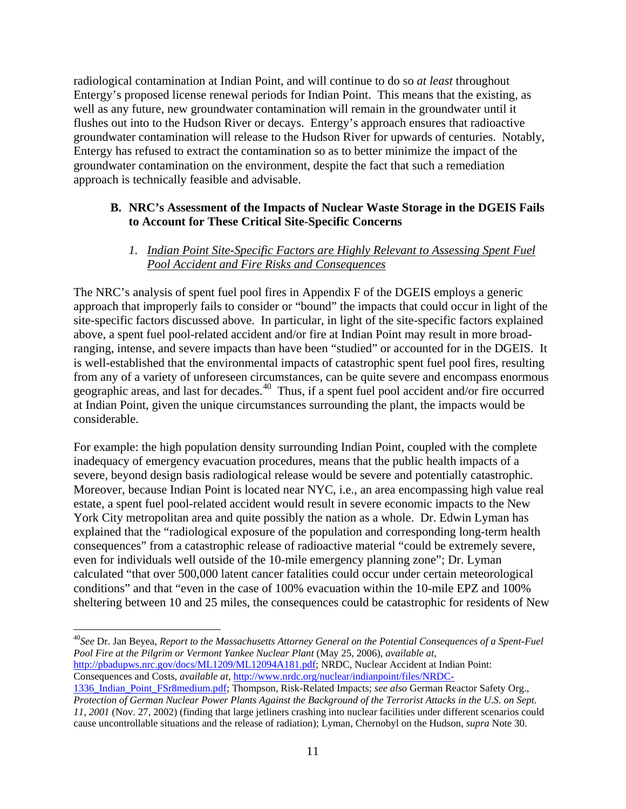radiological contamination at Indian Point, and will continue to do so *at least* throughout Entergy's proposed license renewal periods for Indian Point. This means that the existing, as well as any future, new groundwater contamination will remain in the groundwater until it flushes out into to the Hudson River or decays. Entergy's approach ensures that radioactive groundwater contamination will release to the Hudson River for upwards of centuries. Notably, Entergy has refused to extract the contamination so as to better minimize the impact of the groundwater contamination on the environment, despite the fact that such a remediation approach is technically feasible and advisable.

## **B. NRC's Assessment of the Impacts of Nuclear Waste Storage in the DGEIS Fails to Account for These Critical Site-Specific Concerns**

#### *1. Indian Point Site-Specific Factors are Highly Relevant to Assessing Spent Fuel Pool Accident and Fire Risks and Consequences*

The NRC's analysis of spent fuel pool fires in Appendix F of the DGEIS employs a generic approach that improperly fails to consider or "bound" the impacts that could occur in light of the site-specific factors discussed above. In particular, in light of the site-specific factors explained above, a spent fuel pool-related accident and/or fire at Indian Point may result in more broadranging, intense, and severe impacts than have been "studied" or accounted for in the DGEIS. It is well-established that the environmental impacts of catastrophic spent fuel pool fires, resulting from any of a variety of unforeseen circumstances, can be quite severe and encompass enormous geographic areas, and last for decades.<sup>[40](#page-10-0)</sup> Thus, if a spent fuel pool accident and/or fire occurred at Indian Point, given the unique circumstances surrounding the plant, the impacts would be considerable.

For example: the high population density surrounding Indian Point, coupled with the complete inadequacy of emergency evacuation procedures, means that the public health impacts of a severe, beyond design basis radiological release would be severe and potentially catastrophic. Moreover, because Indian Point is located near NYC, i.e., an area encompassing high value real estate, a spent fuel pool-related accident would result in severe economic impacts to the New York City metropolitan area and quite possibly the nation as a whole. Dr. Edwin Lyman has explained that the "radiological exposure of the population and corresponding long-term health consequences" from a catastrophic release of radioactive material "could be extremely severe, even for individuals well outside of the 10-mile emergency planning zone"; Dr. Lyman calculated "that over 500,000 latent cancer fatalities could occur under certain meteorological conditions" and that "even in the case of 100% evacuation within the 10-mile EPZ and 100% sheltering between 10 and 25 miles, the consequences could be catastrophic for residents of New

<span id="page-10-0"></span> 40*See* Dr. Jan Beyea, *Report to the Massachusetts Attorney General on the Potential Consequences of a Spent-Fuel Pool Fire at the Pilgrim or Vermont Yankee Nuclear Plant* (May 25, 2006), *available at*, [http://pbadupws.nrc.gov/docs/ML1209/ML12094A181.pdf;](http://pbadupws.nrc.gov/docs/ML1209/ML12094A181.pdf) NRDC, Nuclear Accident at Indian Point:

Consequences and Costs, *available at*, [http://www.nrdc.org/nuclear/indianpoint/files/NRDC-](http://www.nrdc.org/nuclear/indianpoint/files/NRDC-1336_Indian_Point_FSr8medium.pdf)

[<sup>1336</sup>\\_Indian\\_Point\\_FSr8medium.pdf;](http://www.nrdc.org/nuclear/indianpoint/files/NRDC-1336_Indian_Point_FSr8medium.pdf) Thompson, Risk-Related Impacts; *see also* German Reactor Safety Org., *Protection of German Nuclear Power Plants Against the Background of the Terrorist Attacks in the U.S. on Sept. 11, 2001* (Nov. 27, 2002) (finding that large jetliners crashing into nuclear facilities under different scenarios could cause uncontrollable situations and the release of radiation); Lyman, Chernobyl on the Hudson, *supra* Note 30.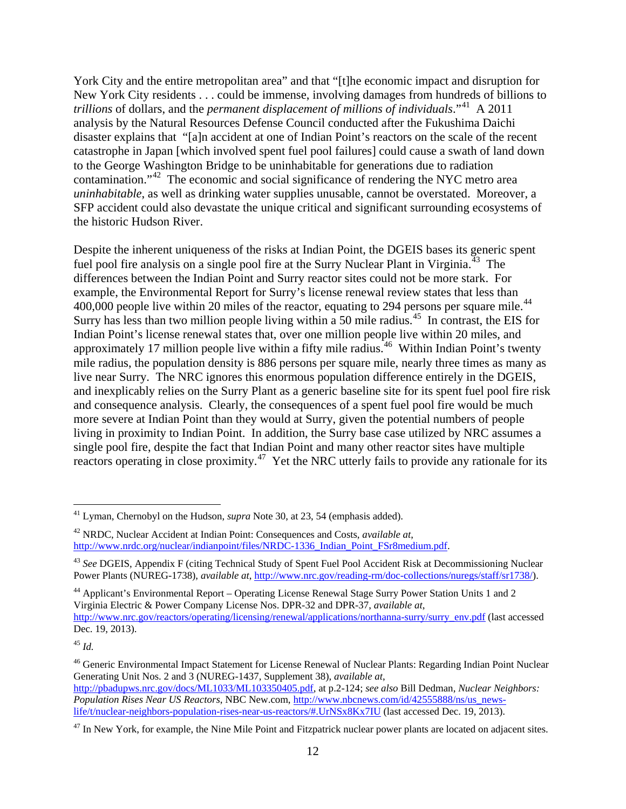York City and the entire metropolitan area" and that "[t]he economic impact and disruption for New York City residents . . . could be immense, involving damages from hundreds of billions to *trillions* of dollars, and the *permanent displacement of millions of individuals*."[41](#page-11-0) A 2011 analysis by the Natural Resources Defense Council conducted after the Fukushima Daichi disaster explains that "[a]n accident at one of Indian Point's reactors on the scale of the recent catastrophe in Japan [which involved spent fuel pool failures] could cause a swath of land down to the George Washington Bridge to be uninhabitable for generations due to radiation contamination."[42](#page-11-1) The economic and social significance of rendering the NYC metro area *uninhabitable*, as well as drinking water supplies unusable, cannot be overstated. Moreover, a SFP accident could also devastate the unique critical and significant surrounding ecosystems of the historic Hudson River.

Despite the inherent uniqueness of the risks at Indian Point, the DGEIS bases its generic spent fuel pool fire analysis on a single pool fire at the Surry Nuclear Plant in Virginia.<sup>[43](#page-11-2)</sup> The differences between the Indian Point and Surry reactor sites could not be more stark. For example, the Environmental Report for Surry's license renewal review states that less than  $400,000$  people live within 20 miles of the reactor, equating to 294 persons per square mile.<sup>[44](#page-11-3)</sup> Surry has less than two million people living within a 50 mile radius.<sup>[45](#page-11-4)</sup> In contrast, the EIS for Indian Point's license renewal states that, over one million people live within 20 miles, and approximately 17 million people live within a fifty mile radius.<sup>46</sup> Within Indian Point's twenty mile radius, the population density is 886 persons per square mile, nearly three times as many as live near Surry. The NRC ignores this enormous population difference entirely in the DGEIS, and inexplicably relies on the Surry Plant as a generic baseline site for its spent fuel pool fire risk and consequence analysis. Clearly, the consequences of a spent fuel pool fire would be much more severe at Indian Point than they would at Surry, given the potential numbers of people living in proximity to Indian Point. In addition, the Surry base case utilized by NRC assumes a single pool fire, despite the fact that Indian Point and many other reactor sites have multiple reactors operating in close proximity.<sup>[47](#page-11-6)</sup> Yet the NRC utterly fails to provide any rationale for its

<span id="page-11-0"></span> <sup>41</sup> Lyman, Chernobyl on the Hudson, *supra* Note 30, at 23, 54 (emphasis added).

<span id="page-11-1"></span><sup>42</sup> NRDC, Nuclear Accident at Indian Point: Consequences and Costs, *available at*, [http://www.nrdc.org/nuclear/indianpoint/files/NRDC-1336\\_Indian\\_Point\\_FSr8medium.pdf.](http://www.nrdc.org/nuclear/indianpoint/files/NRDC-1336_Indian_Point_FSr8medium.pdf)

<span id="page-11-2"></span><sup>43</sup> *See* DGEIS, Appendix F (citing Technical Study of Spent Fuel Pool Accident Risk at Decommissioning Nuclear Power Plants (NUREG-1738), *available at*, [http://www.nrc.gov/reading-rm/doc-collections/nuregs/staff/sr1738/\)](http://www.nrc.gov/reading-rm/doc-collections/nuregs/staff/sr1738/).

<span id="page-11-3"></span><sup>44</sup> Applicant's Environmental Report – Operating License Renewal Stage Surry Power Station Units 1 and 2 Virginia Electric & Power Company License Nos. DPR-32 and DPR-37, *available at*, [http://www.nrc.gov/reactors/operating/licensing/renewal/applications/northanna-surry/surry\\_env.pdf](http://www.nrc.gov/reactors/operating/licensing/renewal/applications/northanna-surry/surry_env.pdf) (last accessed Dec. 19, 2013).

<span id="page-11-4"></span><sup>45</sup> *Id.* 

<span id="page-11-5"></span><sup>&</sup>lt;sup>46</sup> Generic Environmental Impact Statement for License Renewal of Nuclear Plants: Regarding Indian Point Nuclear Generating Unit Nos. 2 and 3 (NUREG-1437, Supplement 38), *available at*, [http://pbadupws.nrc.gov/docs/ML1033/ML103350405.pdf,](http://pbadupws.nrc.gov/docs/ML1033/ML103350405.pdf) at p.2-124; *see also* Bill Dedman, *Nuclear Neighbors: Population Rises Near US Reactors*, NBC New.com, [http://www.nbcnews.com/id/42555888/ns/us\\_news-](http://www.nbcnews.com/id/42555888/ns/us_news-life/t/nuclear-neighbors-population-rises-near-us-reactors/#.UrNSx8Kx7IU)

[life/t/nuclear-neighbors-population-rises-near-us-reactors/#.UrNSx8Kx7IU](http://www.nbcnews.com/id/42555888/ns/us_news-life/t/nuclear-neighbors-population-rises-near-us-reactors/#.UrNSx8Kx7IU) (last accessed Dec. 19, 2013).

<span id="page-11-6"></span><sup>&</sup>lt;sup>47</sup> In New York, for example, the Nine Mile Point and Fitzpatrick nuclear power plants are located on adjacent sites.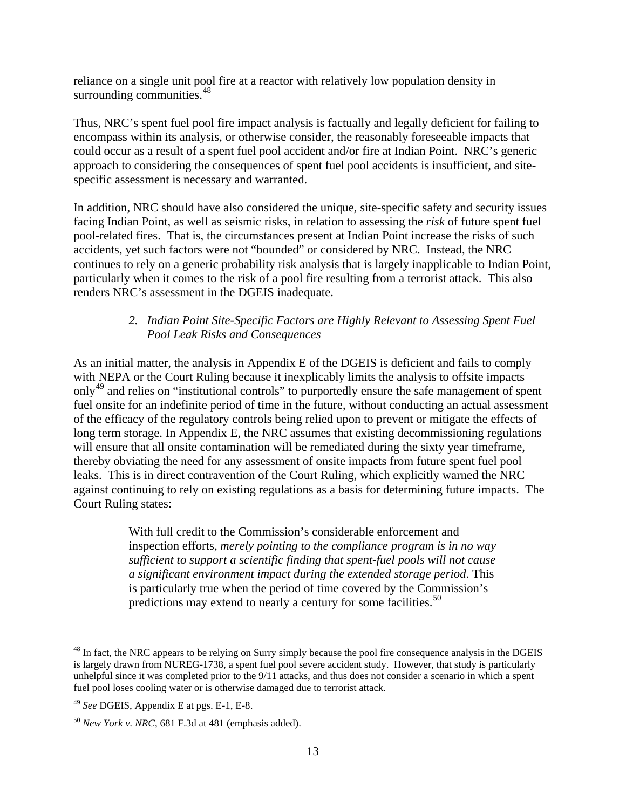reliance on a single unit pool fire at a reactor with relatively low population density in surrounding communities. $48$ 

Thus, NRC's spent fuel pool fire impact analysis is factually and legally deficient for failing to encompass within its analysis, or otherwise consider, the reasonably foreseeable impacts that could occur as a result of a spent fuel pool accident and/or fire at Indian Point. NRC's generic approach to considering the consequences of spent fuel pool accidents is insufficient, and sitespecific assessment is necessary and warranted.

In addition, NRC should have also considered the unique, site-specific safety and security issues facing Indian Point, as well as seismic risks, in relation to assessing the *risk* of future spent fuel pool-related fires. That is, the circumstances present at Indian Point increase the risks of such accidents, yet such factors were not "bounded" or considered by NRC. Instead, the NRC continues to rely on a generic probability risk analysis that is largely inapplicable to Indian Point, particularly when it comes to the risk of a pool fire resulting from a terrorist attack. This also renders NRC's assessment in the DGEIS inadequate.

#### *2. Indian Point Site-Specific Factors are Highly Relevant to Assessing Spent Fuel Pool Leak Risks and Consequences*

As an initial matter, the analysis in Appendix E of the DGEIS is deficient and fails to comply with NEPA or the Court Ruling because it inexplicably limits the analysis to offsite impacts only<sup>[49](#page-12-1)</sup> and relies on "institutional controls" to purportedly ensure the safe management of spent fuel onsite for an indefinite period of time in the future, without conducting an actual assessment of the efficacy of the regulatory controls being relied upon to prevent or mitigate the effects of long term storage. In Appendix E, the NRC assumes that existing decommissioning regulations will ensure that all onsite contamination will be remediated during the sixty year timeframe, thereby obviating the need for any assessment of onsite impacts from future spent fuel pool leaks. This is in direct contravention of the Court Ruling, which explicitly warned the NRC against continuing to rely on existing regulations as a basis for determining future impacts. The Court Ruling states:

> With full credit to the Commission's considerable enforcement and inspection efforts, *merely pointing to the compliance program is in no way sufficient to support a scientific finding that spent-fuel pools will not cause a significant environment impact during the extended storage period*. This is particularly true when the period of time covered by the Commission's predictions may extend to nearly a century for some facilities.<sup>[50](#page-12-2)</sup>

<span id="page-12-0"></span><sup>&</sup>lt;sup>48</sup> In fact, the NRC appears to be relying on Surry simply because the pool fire consequence analysis in the DGEIS is largely drawn from NUREG-1738, a spent fuel pool severe accident study. However, that study is particularly unhelpful since it was completed prior to the 9/11 attacks, and thus does not consider a scenario in which a spent fuel pool loses cooling water or is otherwise damaged due to terrorist attack.

<span id="page-12-1"></span><sup>49</sup> *See* DGEIS, Appendix E at pgs. E-1, E-8.

<span id="page-12-2"></span><sup>50</sup> *New York v. NRC*, 681 F.3d at 481 (emphasis added).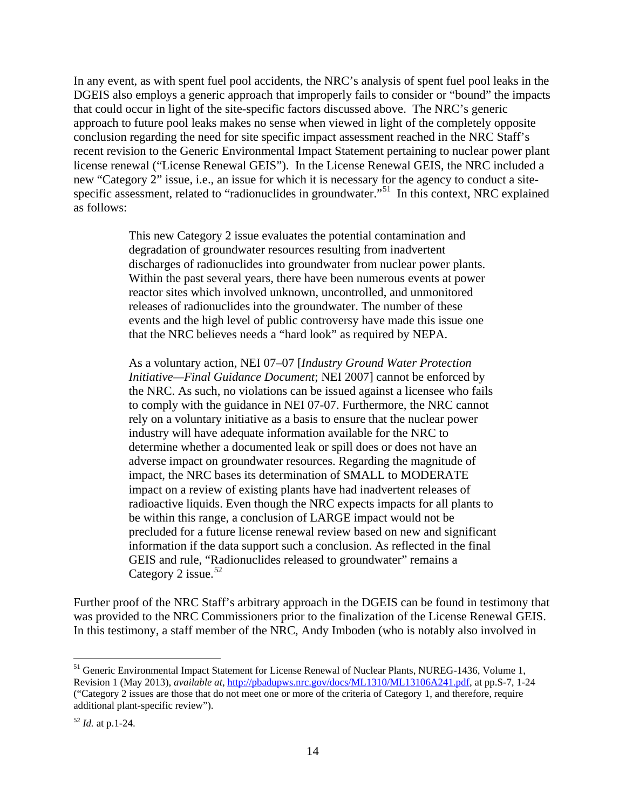In any event, as with spent fuel pool accidents, the NRC's analysis of spent fuel pool leaks in the DGEIS also employs a generic approach that improperly fails to consider or "bound" the impacts that could occur in light of the site-specific factors discussed above. The NRC's generic approach to future pool leaks makes no sense when viewed in light of the completely opposite conclusion regarding the need for site specific impact assessment reached in the NRC Staff's recent revision to the Generic Environmental Impact Statement pertaining to nuclear power plant license renewal ("License Renewal GEIS"). In the License Renewal GEIS, the NRC included a new "Category 2" issue, i.e., an issue for which it is necessary for the agency to conduct a site-specific assessment, related to "radionuclides in groundwater."<sup>[51](#page-13-0)</sup> In this context, NRC explained as follows:

> This new Category 2 issue evaluates the potential contamination and degradation of groundwater resources resulting from inadvertent discharges of radionuclides into groundwater from nuclear power plants. Within the past several years, there have been numerous events at power reactor sites which involved unknown, uncontrolled, and unmonitored releases of radionuclides into the groundwater. The number of these events and the high level of public controversy have made this issue one that the NRC believes needs a "hard look" as required by NEPA.

As a voluntary action, NEI 07–07 [*Industry Ground Water Protection Initiative—Final Guidance Document*; NEI 2007] cannot be enforced by the NRC. As such, no violations can be issued against a licensee who fails to comply with the guidance in NEI 07-07. Furthermore, the NRC cannot rely on a voluntary initiative as a basis to ensure that the nuclear power industry will have adequate information available for the NRC to determine whether a documented leak or spill does or does not have an adverse impact on groundwater resources. Regarding the magnitude of impact, the NRC bases its determination of SMALL to MODERATE impact on a review of existing plants have had inadvertent releases of radioactive liquids. Even though the NRC expects impacts for all plants to be within this range, a conclusion of LARGE impact would not be precluded for a future license renewal review based on new and significant information if the data support such a conclusion. As reflected in the final GEIS and rule, "Radionuclides released to groundwater" remains a Category 2 issue.  $52$ 

Further proof of the NRC Staff's arbitrary approach in the DGEIS can be found in testimony that was provided to the NRC Commissioners prior to the finalization of the License Renewal GEIS. In this testimony, a staff member of the NRC, Andy Imboden (who is notably also involved in

<span id="page-13-0"></span><sup>&</sup>lt;sup>51</sup> Generic Environmental Impact Statement for License Renewal of Nuclear Plants, NUREG-1436, Volume 1, Revision 1 (May 2013), *available at*[, http://pbadupws.nrc.gov/docs/ML1310/ML13106A241.pdf,](http://pbadupws.nrc.gov/docs/ML1310/ML13106A241.pdf) at pp.S-7, 1-24 ("Category 2 issues are those that do not meet one or more of the criteria of Category 1, and therefore, require additional plant-specific review").

<span id="page-13-1"></span><sup>52</sup> *Id.* at p.1-24.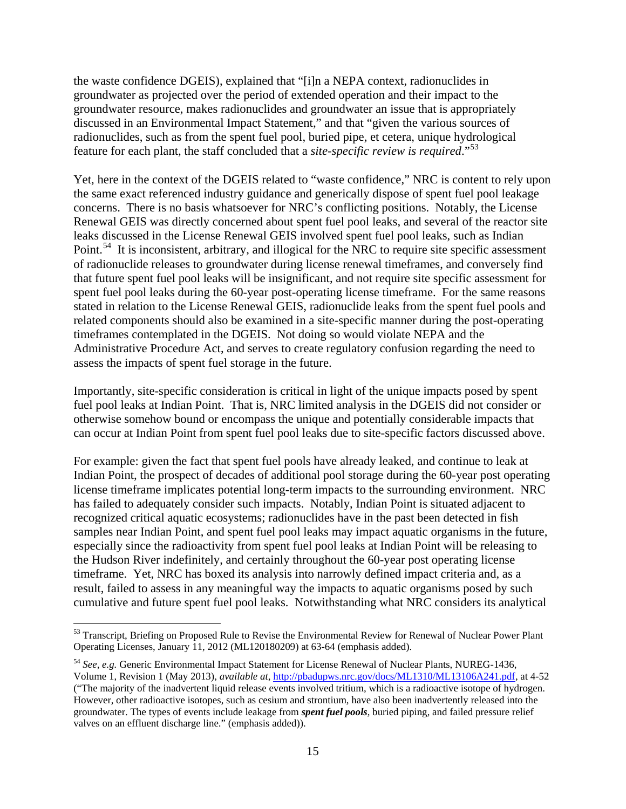the waste confidence DGEIS), explained that "[i]n a NEPA context, radionuclides in groundwater as projected over the period of extended operation and their impact to the groundwater resource, makes radionuclides and groundwater an issue that is appropriately discussed in an Environmental Impact Statement," and that "given the various sources of radionuclides, such as from the spent fuel pool, buried pipe, et cetera, unique hydrological feature for each plant, the staff concluded that a *site-specific review is required*."[53](#page-14-0)

Yet, here in the context of the DGEIS related to "waste confidence," NRC is content to rely upon the same exact referenced industry guidance and generically dispose of spent fuel pool leakage concerns. There is no basis whatsoever for NRC's conflicting positions. Notably, the License Renewal GEIS was directly concerned about spent fuel pool leaks, and several of the reactor site leaks discussed in the License Renewal GEIS involved spent fuel pool leaks, such as Indian Point.<sup>54</sup> It is inconsistent, arbitrary, and illogical for the NRC to require site specific assessment of radionuclide releases to groundwater during license renewal timeframes, and conversely find that future spent fuel pool leaks will be insignificant, and not require site specific assessment for spent fuel pool leaks during the 60-year post-operating license timeframe. For the same reasons stated in relation to the License Renewal GEIS, radionuclide leaks from the spent fuel pools and related components should also be examined in a site-specific manner during the post-operating timeframes contemplated in the DGEIS. Not doing so would violate NEPA and the Administrative Procedure Act, and serves to create regulatory confusion regarding the need to assess the impacts of spent fuel storage in the future.

Importantly, site-specific consideration is critical in light of the unique impacts posed by spent fuel pool leaks at Indian Point. That is, NRC limited analysis in the DGEIS did not consider or otherwise somehow bound or encompass the unique and potentially considerable impacts that can occur at Indian Point from spent fuel pool leaks due to site-specific factors discussed above.

For example: given the fact that spent fuel pools have already leaked, and continue to leak at Indian Point, the prospect of decades of additional pool storage during the 60-year post operating license timeframe implicates potential long-term impacts to the surrounding environment. NRC has failed to adequately consider such impacts. Notably, Indian Point is situated adjacent to recognized critical aquatic ecosystems; radionuclides have in the past been detected in fish samples near Indian Point, and spent fuel pool leaks may impact aquatic organisms in the future, especially since the radioactivity from spent fuel pool leaks at Indian Point will be releasing to the Hudson River indefinitely, and certainly throughout the 60-year post operating license timeframe. Yet, NRC has boxed its analysis into narrowly defined impact criteria and, as a result, failed to assess in any meaningful way the impacts to aquatic organisms posed by such cumulative and future spent fuel pool leaks. Notwithstanding what NRC considers its analytical

<span id="page-14-0"></span><sup>&</sup>lt;sup>53</sup> Transcript, Briefing on Proposed Rule to Revise the Environmental Review for Renewal of Nuclear Power Plant Operating Licenses, January 11, 2012 (ML120180209) at 63-64 (emphasis added).

<span id="page-14-1"></span><sup>54</sup> *See, e.g.* Generic Environmental Impact Statement for License Renewal of Nuclear Plants, NUREG-1436, Volume 1, Revision 1 (May 2013), *available at*, [http://pbadupws.nrc.gov/docs/ML1310/ML13106A241.pdf,](http://pbadupws.nrc.gov/docs/ML1310/ML13106A241.pdf) at 4-52 ("The majority of the inadvertent liquid release events involved tritium, which is a radioactive isotope of hydrogen. However, other radioactive isotopes, such as cesium and strontium, have also been inadvertently released into the groundwater. The types of events include leakage from *spent fuel pools*, buried piping, and failed pressure relief valves on an effluent discharge line." (emphasis added)).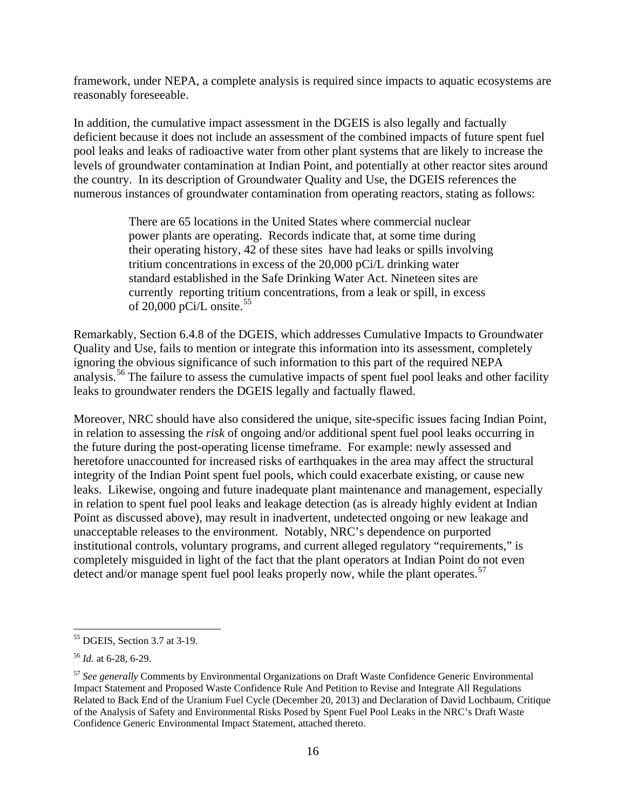framework, under NEPA, a complete analysis is required since impacts to aquatic ecosystems are reasonably foreseeable.

In addition, the cumulative impact assessment in the DGEIS is also legally and factually deficient because it does not include an assessment of the combined impacts of future spent fuel pool leaks and leaks of radioactive water from other plant systems that are likely to increase the levels of groundwater contamination at Indian Point, and potentially at other reactor sites around the country. In its description of Groundwater Quality and Use, the DGEIS references the numerous instances of groundwater contamination from operating reactors, stating as follows:

> There are 65 locations in the United States where commercial nuclear power plants are operating. Records indicate that, at some time during their operating history, 42 of these sites have had leaks or spills involving tritium concentrations in excess of the 20,000 pCi/L drinking water standard established in the Safe Drinking Water Act. Nineteen sites are currently reporting tritium concentrations, from a leak or spill, in excess of 20,000 pCi/L onsite.<sup>[55](#page-15-0)</sup>

Remarkably, Section 6.4.8 of the DGEIS, which addresses Cumulative Impacts to Groundwater Quality and Use, fails to mention or integrate this information into its assessment, completely ignoring the obvious significance of such information to this part of the required NEPA analysis.<sup>[56](#page-15-1)</sup> The failure to assess the cumulative impacts of spent fuel pool leaks and other facility leaks to groundwater renders the DGEIS legally and factually flawed.

Moreover, NRC should have also considered the unique, site-specific issues facing Indian Point, in relation to assessing the *risk* of ongoing and/or additional spent fuel pool leaks occurring in the future during the post-operating license timeframe. For example: newly assessed and heretofore unaccounted for increased risks of earthquakes in the area may affect the structural integrity of the Indian Point spent fuel pools, which could exacerbate existing, or cause new leaks. Likewise, ongoing and future inadequate plant maintenance and management, especially in relation to spent fuel pool leaks and leakage detection (as is already highly evident at Indian Point as discussed above), may result in inadvertent, undetected ongoing or new leakage and unacceptable releases to the environment. Notably, NRC's dependence on purported institutional controls, voluntary programs, and current alleged regulatory "requirements," is completely misguided in light of the fact that the plant operators at Indian Point do not even detect and/or manage spent fuel pool leaks properly now, while the plant operates.<sup>[57](#page-15-2)</sup>

<span id="page-15-0"></span> <sup>55</sup> DGEIS, Section 3.7 at 3-19.

<span id="page-15-1"></span><sup>56</sup> *Id.* at 6-28, 6-29.

<span id="page-15-2"></span><sup>57</sup> *See generally* Comments by Environmental Organizations on Draft Waste Confidence Generic Environmental Impact Statement and Proposed Waste Confidence Rule And Petition to Revise and Integrate All Regulations Related to Back End of the Uranium Fuel Cycle (December 20, 2013) and Declaration of David Lochbaum, Critique of the Analysis of Safety and Environmental Risks Posed by Spent Fuel Pool Leaks in the NRC's Draft Waste Confidence Generic Environmental Impact Statement, attached thereto.